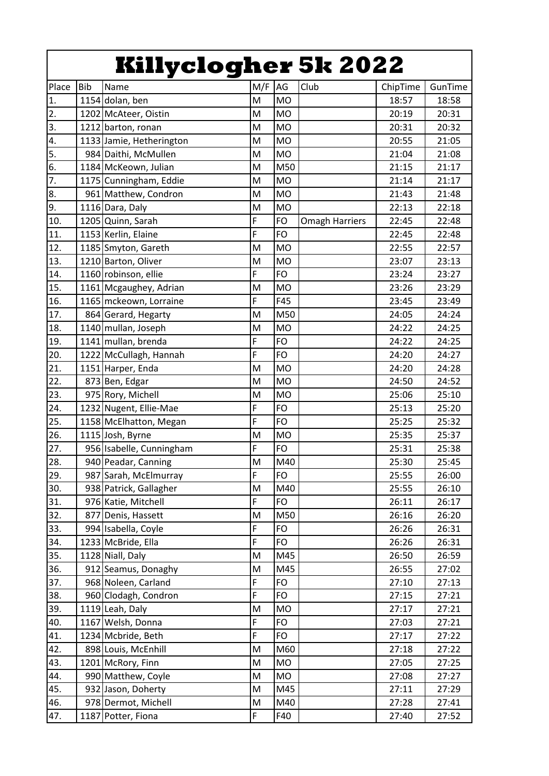|                  |            | <b>Killyclogher 5k 2022</b> |     |           |                       |          |         |
|------------------|------------|-----------------------------|-----|-----------|-----------------------|----------|---------|
| Place            | <b>Bib</b> | Name                        | M/F | AG        | Club                  | ChipTime | GunTime |
| $\mathbf{1}$ .   |            | 1154 dolan, ben             | M   | <b>MO</b> |                       | 18:57    | 18:58   |
| $\overline{2}$ . |            | 1202 McAteer, Oistin        | M   | <b>MO</b> |                       | 20:19    | 20:31   |
| 3.               |            | 1212 barton, ronan          | M   | <b>MO</b> |                       | 20:31    | 20:32   |
| $\overline{4}$ . |            | 1133 Jamie, Hetherington    | M   | <b>MO</b> |                       | 20:55    | 21:05   |
| 5.               |            | 984 Daithi, McMullen        | M   | <b>MO</b> |                       | 21:04    | 21:08   |
| 6.               |            | 1184 McKeown, Julian        | M   | M50       |                       | 21:15    | 21:17   |
| 7.               |            | 1175 Cunningham, Eddie      | M   | <b>MO</b> |                       | 21:14    | 21:17   |
| 8.               |            | 961 Matthew, Condron        | M   | <b>MO</b> |                       | 21:43    | 21:48   |
| 9.               |            | 1116 Dara, Daly             | M   | <b>MO</b> |                       | 22:13    | 22:18   |
| 10.              |            | 1205 Quinn, Sarah           | F   | FO        | <b>Omagh Harriers</b> | 22:45    | 22:48   |
| 11.              |            | 1153 Kerlin, Elaine         | F   | FO        |                       | 22:45    | 22:48   |
| 12.              |            | 1185 Smyton, Gareth         | M   | <b>MO</b> |                       | 22:55    | 22:57   |
| 13.              |            | 1210 Barton, Oliver         | M   | <b>MO</b> |                       | 23:07    | 23:13   |
| 14.              |            | 1160 robinson, ellie        | F   | <b>FO</b> |                       | 23:24    | 23:27   |
| 15.              |            | 1161 Mcgaughey, Adrian      | M   | <b>MO</b> |                       | 23:26    | 23:29   |
| 16.              |            | 1165 mckeown, Lorraine      | F   | F45       |                       | 23:45    | 23:49   |
| 17.              |            | 864 Gerard, Hegarty         | M   | M50       |                       | 24:05    | 24:24   |
| 18.              |            | 1140 mullan, Joseph         | M   | <b>MO</b> |                       | 24:22    | 24:25   |
| 19.              |            | 1141 mullan, brenda         | F   | FO        |                       | 24:22    | 24:25   |
| 20.              |            | 1222 McCullagh, Hannah      | F   | FO        |                       | 24:20    | 24:27   |
| 21.              |            | 1151 Harper, Enda           | M   | <b>MO</b> |                       | 24:20    | 24:28   |
| 22.              |            | 873 Ben, Edgar              | M   | <b>MO</b> |                       | 24:50    | 24:52   |
| 23.              |            | 975 Rory, Michell           | M   | <b>MO</b> |                       | 25:06    | 25:10   |
| 24.              |            | 1232 Nugent, Ellie-Mae      | F   | <b>FO</b> |                       | 25:13    | 25:20   |
| 25.              |            | 1158 McElhatton, Megan      | F   | <b>FO</b> |                       | 25:25    | 25:32   |
| 26.              |            | 1115 Josh, Byrne            | M   | <b>MO</b> |                       | 25:35    | 25:37   |
| 27.              |            | 956 Isabelle, Cunningham    | F   | <b>FO</b> |                       | 25:31    | 25:38   |
| 28.              |            | 940 Peadar, Canning         | M   | M40       |                       | 25:30    | 25:45   |
| 29.              |            | 987 Sarah, McElmurray       | F   | <b>FO</b> |                       | 25:55    | 26:00   |
| 30.              |            | 938 Patrick, Gallagher      | M   | M40       |                       | 25:55    | 26:10   |
| 31.              |            | 976 Katie, Mitchell         | F   | FO        |                       | 26:11    | 26:17   |
| 32.              |            | 877 Denis, Hassett          | M   | M50       |                       | 26:16    | 26:20   |
| 33.              |            | 994 Isabella, Coyle         | F   | FO        |                       | 26:26    | 26:31   |
| 34.              |            | 1233 McBride, Ella          | F   | <b>FO</b> |                       | 26:26    | 26:31   |
| 35.              |            | 1128 Niall, Daly            | M   | M45       |                       | 26:50    | 26:59   |
| 36.              |            | 912 Seamus, Donaghy         | M   | M45       |                       | 26:55    | 27:02   |
| 37.              |            | 968 Noleen, Carland         | F   | <b>FO</b> |                       | 27:10    | 27:13   |
| 38.              |            | 960 Clodagh, Condron        | F   | FO        |                       | 27:15    | 27:21   |
| 39.              |            | 1119 Leah, Daly             | M   | <b>MO</b> |                       | 27:17    | 27:21   |
| 40.              |            | 1167 Welsh, Donna           | F   | FO        |                       | 27:03    | 27:21   |
| 41.              |            | 1234 Mcbride, Beth          | F   | <b>FO</b> |                       | 27:17    | 27:22   |
| 42.              |            | 898 Louis, McEnhill         | M   | M60       |                       | 27:18    | 27:22   |
| 43.              |            | 1201 McRory, Finn           | M   | <b>MO</b> |                       | 27:05    | 27:25   |
| 44.              |            | 990 Matthew, Coyle          | M   | <b>MO</b> |                       | 27:08    | 27:27   |
| 45.              |            | 932 Jason, Doherty          | M   | M45       |                       | 27:11    | 27:29   |
| 46.              |            | 978 Dermot, Michell         | M   | M40       |                       | 27:28    | 27:41   |
| 47.              |            | 1187 Potter, Fiona          | F   | F40       |                       | 27:40    | 27:52   |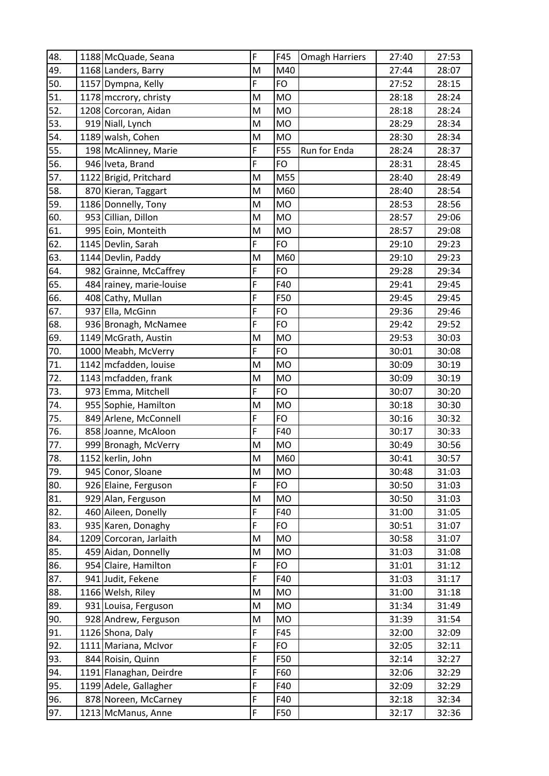| 48. | 1188 McQuade, Seana      | F | F45       | <b>Omagh Harriers</b> | 27:40 | 27:53 |
|-----|--------------------------|---|-----------|-----------------------|-------|-------|
| 49. | 1168 Landers, Barry      | M | M40       |                       | 27:44 | 28:07 |
| 50. | 1157 Dympna, Kelly       | F | <b>FO</b> |                       | 27:52 | 28:15 |
| 51. | 1178 mccrory, christy    | M | <b>MO</b> |                       | 28:18 | 28:24 |
| 52. | 1208 Corcoran, Aidan     | M | <b>MO</b> |                       | 28:18 | 28:24 |
| 53. | 919 Niall, Lynch         | M | <b>MO</b> |                       | 28:29 | 28:34 |
| 54. | 1189 walsh, Cohen        | M | <b>MO</b> |                       | 28:30 | 28:34 |
| 55. | 198 McAlinney, Marie     | F | F55       | Run for Enda          | 28:24 | 28:37 |
| 56. | 946 Iveta, Brand         | F | <b>FO</b> |                       | 28:31 | 28:45 |
| 57. | 1122 Brigid, Pritchard   | M | M55       |                       | 28:40 | 28:49 |
| 58. | 870 Kieran, Taggart      | M | M60       |                       | 28:40 | 28:54 |
| 59. | 1186 Donnelly, Tony      | M | <b>MO</b> |                       | 28:53 | 28:56 |
| 60. | 953 Cillian, Dillon      | M | <b>MO</b> |                       | 28:57 | 29:06 |
| 61. | 995 Eoin, Monteith       | M | <b>MO</b> |                       | 28:57 | 29:08 |
| 62. | 1145 Devlin, Sarah       | F | <b>FO</b> |                       | 29:10 | 29:23 |
| 63. | 1144 Devlin, Paddy       | M | M60       |                       | 29:10 | 29:23 |
| 64. | 982 Grainne, McCaffrey   | F | FO        |                       | 29:28 | 29:34 |
| 65. | 484 rainey, marie-louise | F | F40       |                       | 29:41 | 29:45 |
| 66. | 408 Cathy, Mullan        | F | F50       |                       | 29:45 | 29:45 |
| 67. | 937 Ella, McGinn         | F | <b>FO</b> |                       | 29:36 | 29:46 |
| 68. | 936 Bronagh, McNamee     | F | <b>FO</b> |                       | 29:42 | 29:52 |
| 69. | 1149 McGrath, Austin     | M | <b>MO</b> |                       | 29:53 | 30:03 |
| 70. | 1000 Meabh, McVerry      | F | <b>FO</b> |                       | 30:01 | 30:08 |
| 71. | 1142 mcfadden, louise    | M | <b>MO</b> |                       | 30:09 | 30:19 |
| 72. | 1143 mcfadden, frank     | M | <b>MO</b> |                       | 30:09 | 30:19 |
| 73. | 973 Emma, Mitchell       | F | <b>FO</b> |                       | 30:07 | 30:20 |
| 74. | 955 Sophie, Hamilton     | M | <b>MO</b> |                       | 30:18 | 30:30 |
| 75. | 849 Arlene, McConnell    | F | <b>FO</b> |                       | 30:16 | 30:32 |
| 76. | 858 Joanne, McAloon      | F | F40       |                       | 30:17 | 30:33 |
| 77. | 999 Bronagh, McVerry     | M | MO        |                       | 30:49 | 30:56 |
| 78. | 1152 kerlin, John        | M | M60       |                       | 30:41 | 30:57 |
| 79. | 945 Conor, Sloane        | M | <b>MO</b> |                       | 30:48 | 31:03 |
| 80. | 926 Elaine, Ferguson     | F | FO        |                       | 30:50 | 31:03 |
| 81. | 929 Alan, Ferguson       | M | <b>MO</b> |                       | 30:50 | 31:03 |
| 82. | 460 Aileen, Donelly      | F | F40       |                       | 31:00 | 31:05 |
| 83. | 935 Karen, Donaghy       | F | <b>FO</b> |                       | 30:51 | 31:07 |
| 84. | 1209 Corcoran, Jarlaith  | M | <b>MO</b> |                       | 30:58 | 31:07 |
| 85. | 459 Aidan, Donnelly      | M | <b>MO</b> |                       | 31:03 | 31:08 |
| 86. | 954 Claire, Hamilton     | F | <b>FO</b> |                       | 31:01 | 31:12 |
| 87. | 941 Judit, Fekene        | F | F40       |                       | 31:03 | 31:17 |
| 88. | 1166 Welsh, Riley        | M | <b>MO</b> |                       | 31:00 | 31:18 |
| 89. | 931 Louisa, Ferguson     | M | <b>MO</b> |                       | 31:34 | 31:49 |
| 90. | 928 Andrew, Ferguson     | M | <b>MO</b> |                       | 31:39 | 31:54 |
| 91. | 1126 Shona, Daly         | F | F45       |                       | 32:00 | 32:09 |
| 92. | 1111 Mariana, McIvor     | F | <b>FO</b> |                       | 32:05 | 32:11 |
| 93. | 844 Roisin, Quinn        | F | F50       |                       | 32:14 | 32:27 |
| 94. | 1191 Flanaghan, Deirdre  | F | F60       |                       | 32:06 | 32:29 |
| 95. | 1199 Adele, Gallagher    | F | F40       |                       | 32:09 | 32:29 |
| 96. | 878 Noreen, McCarney     | F | F40       |                       | 32:18 | 32:34 |
| 97. | 1213 McManus, Anne       | F | F50       |                       | 32:17 | 32:36 |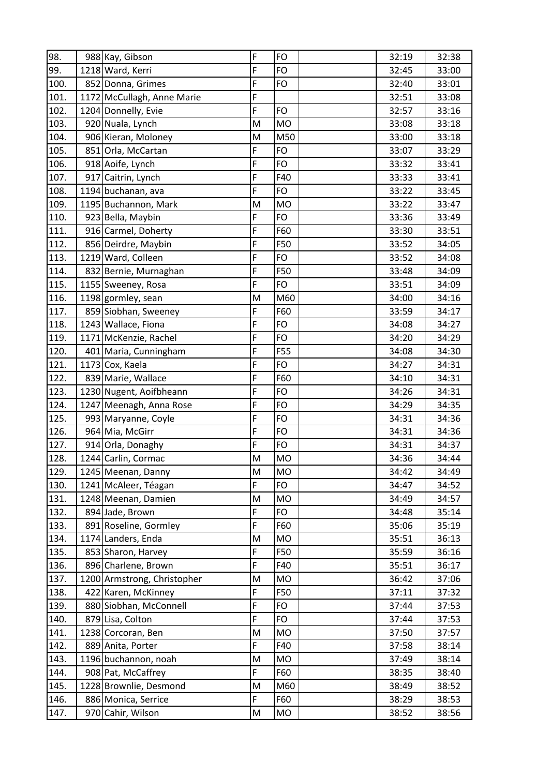| 98.  | 988 Kay, Gibson             | F | FO        | 32:19 | 32:38 |
|------|-----------------------------|---|-----------|-------|-------|
| 99.  | 1218 Ward, Kerri            | F | <b>FO</b> | 32:45 | 33:00 |
| 100. | 852 Donna, Grimes           | F | FO        | 32:40 | 33:01 |
| 101. | 1172 McCullagh, Anne Marie  | F |           | 32:51 | 33:08 |
| 102. | 1204 Donnelly, Evie         | F | <b>FO</b> | 32:57 | 33:16 |
| 103. | 920 Nuala, Lynch            | M | <b>MO</b> | 33:08 | 33:18 |
| 104. | 906 Kieran, Moloney         | M | M50       | 33:00 | 33:18 |
| 105. | 851 Orla, McCartan          | F | FO        | 33:07 | 33:29 |
| 106. | 918 Aoife, Lynch            | F | <b>FO</b> | 33:32 | 33:41 |
| 107. | 917 Caitrin, Lynch          | F | F40       | 33:33 | 33:41 |
| 108. | 1194 buchanan, ava          | F | FO        | 33:22 | 33:45 |
| 109. | 1195 Buchannon, Mark        | M | <b>MO</b> | 33:22 | 33:47 |
| 110. | 923 Bella, Maybin           | F | FO        | 33:36 | 33:49 |
| 111. | 916 Carmel, Doherty         | F | F60       | 33:30 | 33:51 |
| 112. | 856 Deirdre, Maybin         | F | F50       | 33:52 | 34:05 |
| 113. | 1219 Ward, Colleen          | F | FO        | 33:52 | 34:08 |
| 114. | 832 Bernie, Murnaghan       | F | F50       | 33:48 | 34:09 |
| 115. | 1155 Sweeney, Rosa          | F | <b>FO</b> | 33:51 | 34:09 |
| 116. | 1198 gormley, sean          | M | M60       | 34:00 | 34:16 |
| 117. | 859 Siobhan, Sweeney        | F | F60       | 33:59 | 34:17 |
| 118. | 1243 Wallace, Fiona         | F | <b>FO</b> | 34:08 | 34:27 |
| 119. | 1171 McKenzie, Rachel       | F | FO        | 34:20 | 34:29 |
| 120. | 401 Maria, Cunningham       | F | F55       | 34:08 | 34:30 |
| 121. | 1173 Cox, Kaela             | F | FO        | 34:27 | 34:31 |
| 122. | 839 Marie, Wallace          | F | F60       | 34:10 | 34:31 |
| 123. | 1230 Nugent, Aoifbheann     | F | FO        | 34:26 | 34:31 |
| 124. | 1247 Meenagh, Anna Rose     | F | <b>FO</b> | 34:29 | 34:35 |
| 125. | 993 Maryanne, Coyle         | F | <b>FO</b> | 34:31 | 34:36 |
| 126. | 964 Mia, McGirr             | F | <b>FO</b> | 34:31 | 34:36 |
| 127. | 914 Orla, Donaghy           | F | FO        | 34:31 | 34:37 |
| 128. | 1244 Carlin, Cormac         | M | <b>MO</b> | 34:36 | 34:44 |
| 129. | 1245 Meenan, Danny          | M | <b>MO</b> | 34:42 | 34:49 |
| 130. | 1241 McAleer, Téagan        | F | FO        | 34:47 | 34:52 |
| 131. | 1248 Meenan, Damien         | M | <b>MO</b> | 34:49 | 34:57 |
| 132. | 894 Jade, Brown             | F | <b>FO</b> | 34:48 | 35:14 |
| 133. | 891 Roseline, Gormley       | F | F60       | 35:06 | 35:19 |
| 134. | 1174 Landers, Enda          | M | MO        | 35:51 | 36:13 |
| 135. | 853 Sharon, Harvey          | F | F50       | 35:59 | 36:16 |
| 136. | 896 Charlene, Brown         | F | F40       | 35:51 | 36:17 |
| 137. | 1200 Armstrong, Christopher | M | <b>MO</b> | 36:42 | 37:06 |
| 138. | 422 Karen, McKinney         | F | F50       | 37:11 | 37:32 |
| 139. | 880 Siobhan, McConnell      | F | <b>FO</b> | 37:44 | 37:53 |
| 140. | 879 Lisa, Colton            | F | FO        | 37:44 | 37:53 |
| 141. | 1238 Corcoran, Ben          | M | <b>MO</b> | 37:50 | 37:57 |
| 142. | 889 Anita, Porter           | F | F40       | 37:58 | 38:14 |
| 143. | 1196 buchannon, noah        | M | <b>MO</b> | 37:49 | 38:14 |
| 144. | 908 Pat, McCaffrey          | F | F60       | 38:35 | 38:40 |
| 145. | 1228 Brownlie, Desmond      | M | M60       | 38:49 | 38:52 |
| 146. | 886 Monica, Serrice         | F | F60       | 38:29 | 38:53 |
| 147. | 970 Cahir, Wilson           | M | <b>MO</b> | 38:52 | 38:56 |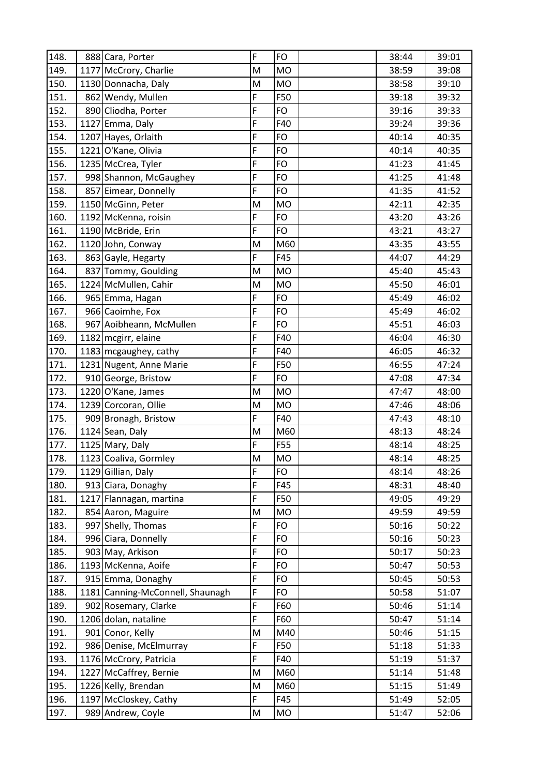| 148. | 888 Cara, Porter                 | F | FO        | 38:44 | 39:01 |
|------|----------------------------------|---|-----------|-------|-------|
| 149. | 1177 McCrory, Charlie            | M | <b>MO</b> | 38:59 | 39:08 |
| 150. | 1130 Donnacha, Daly              | M | <b>MO</b> | 38:58 | 39:10 |
| 151. | 862 Wendy, Mullen                | F | F50       | 39:18 | 39:32 |
| 152. | 890 Cliodha, Porter              | F | FO        | 39:16 | 39:33 |
| 153. | 1127 Emma, Daly                  | F | F40       | 39:24 | 39:36 |
| 154. | 1207 Hayes, Orlaith              | F | FO        | 40:14 | 40:35 |
| 155. | 1221 O'Kane, Olivia              | F | FO        | 40:14 | 40:35 |
| 156. | 1235 McCrea, Tyler               | F | <b>FO</b> | 41:23 | 41:45 |
| 157. | 998 Shannon, McGaughey           | F | FO        | 41:25 | 41:48 |
| 158. | 857 Eimear, Donnelly             | F | FO        | 41:35 | 41:52 |
| 159. | 1150 McGinn, Peter               | M | <b>MO</b> | 42:11 | 42:35 |
| 160. | 1192 McKenna, roisin             | F | FO        | 43:20 | 43:26 |
| 161. | 1190 McBride, Erin               | F | FO        | 43:21 | 43:27 |
| 162. | 1120 John, Conway                | M | M60       | 43:35 | 43:55 |
| 163. | 863 Gayle, Hegarty               | F | F45       | 44:07 | 44:29 |
| 164. | 837 Tommy, Goulding              | M | <b>MO</b> | 45:40 | 45:43 |
| 165. | 1224 McMullen, Cahir             | M | <b>MO</b> | 45:50 | 46:01 |
| 166. | 965 Emma, Hagan                  | F | FO        | 45:49 | 46:02 |
| 167. | 966 Caoimhe, Fox                 | F | FO        | 45:49 | 46:02 |
| 168. | 967 Aoibheann, McMullen          | F | FO        | 45:51 | 46:03 |
| 169. | 1182 mcgirr, elaine              | F | F40       | 46:04 | 46:30 |
| 170. | 1183 mcgaughey, cathy            | F | F40       | 46:05 | 46:32 |
| 171. | 1231 Nugent, Anne Marie          | F | F50       | 46:55 | 47:24 |
| 172. | 910 George, Bristow              | F | FO        | 47:08 | 47:34 |
| 173. | 1220 O'Kane, James               | M | <b>MO</b> | 47:47 | 48:00 |
| 174. | 1239 Corcoran, Ollie             | M | <b>MO</b> | 47:46 | 48:06 |
| 175. | 909 Bronagh, Bristow             | F | F40       | 47:43 | 48:10 |
| 176. | 1124 Sean, Daly                  | M | M60       | 48:13 | 48:24 |
| 177. | 1125 Mary, Daly                  | F | F55       | 48:14 | 48:25 |
| 178. | 1123 Coaliva, Gormley            | M | <b>MO</b> | 48:14 | 48:25 |
| 179. | 1129 Gillian, Daly               | F | FO        | 48:14 | 48:26 |
| 180. | 913 Ciara, Donaghy               | F | F45       | 48:31 | 48:40 |
| 181. | 1217 Flannagan, martina          | F | F50       | 49:05 | 49:29 |
| 182. | 854 Aaron, Maguire               | M | <b>MO</b> | 49:59 | 49:59 |
| 183. | 997 Shelly, Thomas               | F | FO        | 50:16 | 50:22 |
| 184. | 996 Ciara, Donnelly              | F | FO        | 50:16 | 50:23 |
| 185. | 903 May, Arkison                 | F | FO        | 50:17 | 50:23 |
| 186. | 1193 McKenna, Aoife              | F | <b>FO</b> | 50:47 | 50:53 |
| 187. | 915 Emma, Donaghy                | F | <b>FO</b> | 50:45 | 50:53 |
| 188. | 1181 Canning-McConnell, Shaunagh | F | FO        | 50:58 | 51:07 |
| 189. | 902 Rosemary, Clarke             | F | F60       | 50:46 | 51:14 |
| 190. | 1206 dolan, nataline             | F | F60       | 50:47 | 51:14 |
| 191. | 901 Conor, Kelly                 | M | M40       | 50:46 | 51:15 |
| 192. | 986 Denise, McElmurray           | F | F50       | 51:18 | 51:33 |
| 193. | 1176 McCrory, Patricia           | F | F40       | 51:19 | 51:37 |
| 194. | 1227 McCaffrey, Bernie           | M | M60       | 51:14 | 51:48 |
| 195. | 1226 Kelly, Brendan              | M | M60       | 51:15 | 51:49 |
| 196. | 1197 McCloskey, Cathy            | F | F45       | 51:49 | 52:05 |
| 197. | 989 Andrew, Coyle                | M | MO        | 51:47 | 52:06 |